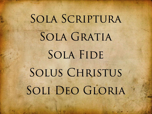# SOLA SCRIPTURA SOLA GRATIA SOLA FIDE SOLUS CHRISTUS SOLI DEO GLORIA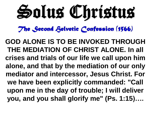Solus Christus

**GOD ALONE IS TO BE INVOKED THROUGH THE MEDIATION OF CHRIST ALONE. In all crises and trials of our life we call upon him alone, and that by the mediation of our only mediator and intercessor, Jesus Christ. For we have been explicitly commanded: "Call upon me in the day of trouble; I will deliver you, and you shall glorify me" (Ps. 1:15)….**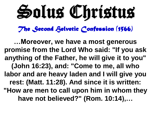Solus Christus

**…Moreover, we have a most generous promise from the Lord Who said: "If you ask anything of the Father, he will give it to you" (John 16:23), and: "Come to me, all who labor and are heavy laden and I will give you rest: (Matt. 11:28). And since it is written: "How are men to call upon him in whom they have not believed?" (Rom. 10:14),…**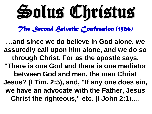Solus Christus

**…and since we do believe in God alone, we assuredly call upon him alone, and we do so through Christ. For as the apostle says, "There is one God and there is one mediator between God and men, the man Christ Jesus? (I Tim. 2:5), and, "If any one does sin, we have an advocate with the Father, Jesus Christ the righteous," etc. (I John 2:1)….**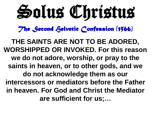Solus Christus

**THE SAINTS ARE NOT TO BE ADORED, WORSHIPPED OR INVOKED. For this reason we do not adore, worship, or pray to the saints in heaven, or to other gods, and we do not acknowledge them as our intercessors or mediators before the Father in heaven. For God and Christ the Mediator are sufficient for us;…**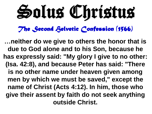Solus Christus

**…neither do we give to others the honor that is due to God alone and to his Son, because he has expressly said: "My glory I give to no other: (Isa. 42:8), and because Peter has said: "There is no other name under heaven given among men by which we must be saved," except the name of Christ (Acts 4:12). In him, those who give their assent by faith do not seek anything outside Christ.**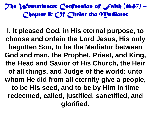**I. It pleased God, in His eternal purpose, to choose and ordain the Lord Jesus, His only begotten Son, to be the Mediator between God and man, the Prophet, Priest, and King, the Head and Savior of His Church, the Heir of all things, and Judge of the world: unto whom He did from all eternity give a people, to be His seed, and to be by Him in time redeemed, called, justified, sanctified, and glorified.**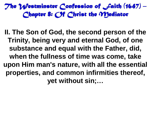**II. The Son of God, the second person of the Trinity, being very and eternal God, of one substance and equal with the Father, did, when the fullness of time was come, take upon Him man's nature, with all the essential properties, and common infirmities thereof, yet without sin;…**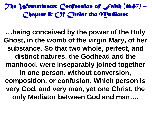**…being conceived by the power of the Holy Ghost, in the womb of the virgin Mary, of her substance. So that two whole, perfect, and distinct natures, the Godhead and the manhood, were inseparably joined together in one person, without conversion, composition, or confusion. Which person is very God, and very man, yet one Christ, the only Mediator between God and man….**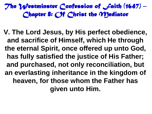**V. The Lord Jesus, by His perfect obedience, and sacrifice of Himself, which He through the eternal Spirit, once offered up unto God, has fully satisfied the justice of His Father; and purchased, not only reconciliation, but an everlasting inheritance in the kingdom of heaven, for those whom the Father has given unto Him.**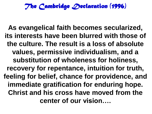### *The Cambridge Declaration (1996)*

**As evangelical faith becomes secularized, its interests have been blurred with those of the culture. The result is a loss of absolute values, permissive individualism, and a substitution of wholeness for holiness, recovery for repentance, intuition for truth, feeling for belief, chance for providence, and immediate gratification for enduring hope. Christ and his cross have moved from the center of our vision….**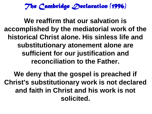*The Cambridge Declaration (1996)* 

**We reaffirm that our salvation is accomplished by the mediatorial work of the historical Christ alone. His sinless life and substitutionary atonement alone are sufficient for our justification and reconciliation to the Father.**

**We deny that the gospel is preached if Christ's substitutionary work is not declared and faith in Christ and his work is not solicited.**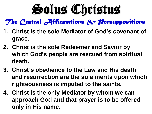# Solus Christus

*The Central Affirmations & Presuppositions* 

- **1. Christ is the sole Mediator of God's covenant of grace.**
- **2. Christ is the sole Redeemer and Savior by which God's people are rescued from spiritual death.**
- **3. Christ's obedience to the Law and His death and resurrection are the sole merits upon which righteousness is imputed to the saints.**
- **4. Christ is the only Mediator by whom we can approach God and that prayer is to be offered only in His name.**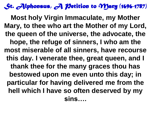# *St. Alphonsus, A Petition to Mary (1696-1787)*

**Most holy Virgin Immaculate, my Mother Mary, to thee who art the Mother of my Lord, the queen of the universe, the advocate, the hope, the refuge of sinners, I who am the most miserable of all sinners, have recourse this day. I venerate thee, great queen, and I thank thee for the many graces thou has bestowed upon me even unto this day; in particular for having delivered me from the hell which I have so often deserved by my sins….**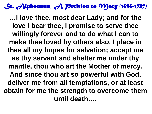# *St. Alphonsus, A Petition to Mary (1696-1787)*

**…I love thee, most dear Lady; and for the love I bear thee, I promise to serve thee willingly forever and to do what I can to make thee loved by others also. I place in thee all my hopes for salvation; accept me as thy servant and shelter me under thy mantle, thou who art the Mother of mercy. And since thou art so powerful with God, deliver me from all temptations, or at least obtain for me the strength to overcome them until death….**